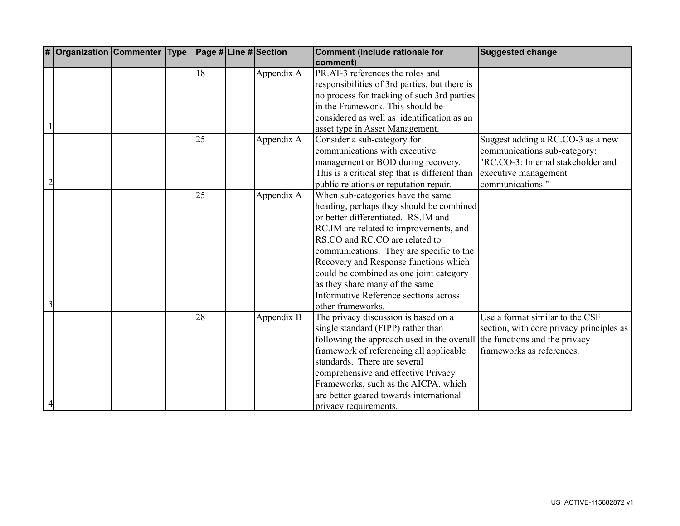| # | <b>Organization Commenter Type</b> |  |    | Page # Line # Section | <b>Comment (Include rationale for</b>          | <b>Suggested change</b>                  |
|---|------------------------------------|--|----|-----------------------|------------------------------------------------|------------------------------------------|
|   |                                    |  |    |                       | comment)                                       |                                          |
|   |                                    |  | 18 | Appendix A            | PR.AT-3 references the roles and               |                                          |
|   |                                    |  |    |                       | responsibilities of 3rd parties, but there is  |                                          |
|   |                                    |  |    |                       | no process for tracking of such 3rd parties    |                                          |
|   |                                    |  |    |                       | in the Framework. This should be               |                                          |
|   |                                    |  |    |                       | considered as well as identification as an     |                                          |
|   |                                    |  |    |                       | asset type in Asset Management.                |                                          |
|   |                                    |  | 25 | Appendix A            | Consider a sub-category for                    | Suggest adding a RC.CO-3 as a new        |
|   |                                    |  |    |                       | communications with executive                  | communications sub-category:             |
|   |                                    |  |    |                       | management or BOD during recovery.             | "RC.CO-3: Internal stakeholder and       |
|   |                                    |  |    |                       | This is a critical step that is different than | executive management                     |
|   |                                    |  |    |                       | public relations or reputation repair.         | communications."                         |
|   |                                    |  | 25 | Appendix A            | When sub-categories have the same              |                                          |
|   |                                    |  |    |                       | heading, perhaps they should be combined       |                                          |
|   |                                    |  |    |                       | or better differentiated. RS.IM and            |                                          |
|   |                                    |  |    |                       | RC.IM are related to improvements, and         |                                          |
|   |                                    |  |    |                       | RS.CO and RC.CO are related to                 |                                          |
|   |                                    |  |    |                       | communications. They are specific to the       |                                          |
|   |                                    |  |    |                       | Recovery and Response functions which          |                                          |
|   |                                    |  |    |                       | could be combined as one joint category        |                                          |
|   |                                    |  |    |                       | as they share many of the same                 |                                          |
|   |                                    |  |    |                       | <b>Informative Reference sections across</b>   |                                          |
| 3 |                                    |  |    |                       | other frameworks.                              |                                          |
|   |                                    |  | 28 | Appendix B            | The privacy discussion is based on a           | Use a format similar to the CSF          |
|   |                                    |  |    |                       | single standard (FIPP) rather than             | section, with core privacy principles as |
|   |                                    |  |    |                       | following the approach used in the overall     | the functions and the privacy            |
|   |                                    |  |    |                       | framework of referencing all applicable        | frameworks as references.                |
|   |                                    |  |    |                       | standards. There are several                   |                                          |
|   |                                    |  |    |                       | comprehensive and effective Privacy            |                                          |
|   |                                    |  |    |                       | Frameworks, such as the AICPA, which           |                                          |
|   |                                    |  |    |                       | are better geared towards international        |                                          |
| 4 |                                    |  |    |                       | privacy requirements.                          |                                          |